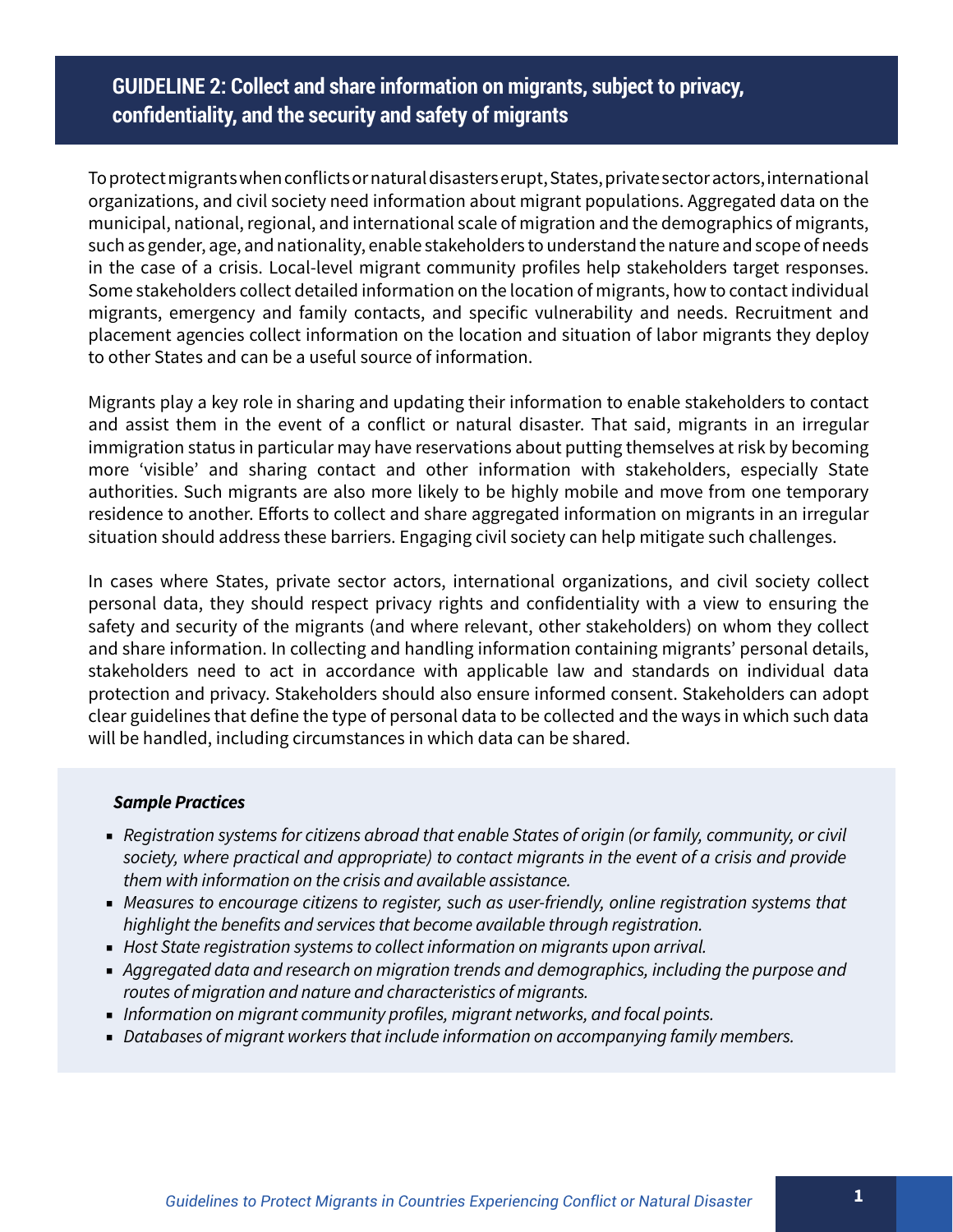# **GUIDELINE 2: Collect and share information on migrants, subject to privacy, confidentiality, and the security and safety of migrants**

To protect migrants when conflicts or natural disasters erupt, States, private sector actors, international organizations, and civil society need information about migrant populations. Aggregated data on the municipal, national, regional, and international scale of migration and the demographics of migrants, such as gender, age, and nationality, enable stakeholders to understand the nature and scope of needs in the case of a crisis. Local-level migrant community profiles help stakeholders target responses. Some stakeholders collect detailed information on the location of migrants, how to contact individual migrants, emergency and family contacts, and specific vulnerability and needs. Recruitment and placement agencies collect information on the location and situation of labor migrants they deploy to other States and can be a useful source of information.

Migrants play a key role in sharing and updating their information to enable stakeholders to contact and assist them in the event of a conflict or natural disaster. That said, migrants in an irregular immigration status in particular may have reservations about putting themselves at risk by becoming more 'visible' and sharing contact and other information with stakeholders, especially State authorities. Such migrants are also more likely to be highly mobile and move from one temporary residence to another. Efforts to collect and share aggregated information on migrants in an irregular situation should address these barriers. Engaging civil society can help mitigate such challenges.

In cases where States, private sector actors, international organizations, and civil society collect personal data, they should respect privacy rights and confidentiality with a view to ensuring the safety and security of the migrants (and where relevant, other stakeholders) on whom they collect and share information. In collecting and handling information containing migrants' personal details, stakeholders need to act in accordance with applicable law and standards on individual data protection and privacy. Stakeholders should also ensure informed consent. Stakeholders can adopt clear guidelines that define the type of personal data to be collected and the ways in which such data will be handled, including circumstances in which data can be shared.

#### *Sample Practices*

- *Registration systems for citizens abroad that enable States of origin (or family, community, or civil society, where practical and appropriate) to contact migrants in the event of a crisis and provide them with information on the crisis and available assistance.*
- *Measures to encourage citizens to register, such as user-friendly, online registration systems that highlight the benefits and services that become available through registration.*
- *Host State registration systems to collect information on migrants upon arrival.*
- *Aggregated data and research on migration trends and demographics, including the purpose and routes of migration and nature and characteristics of migrants.*
- *Information on migrant community profiles, migrant networks, and focal points.*
- *Databases of migrant workers that include information on accompanying family members.*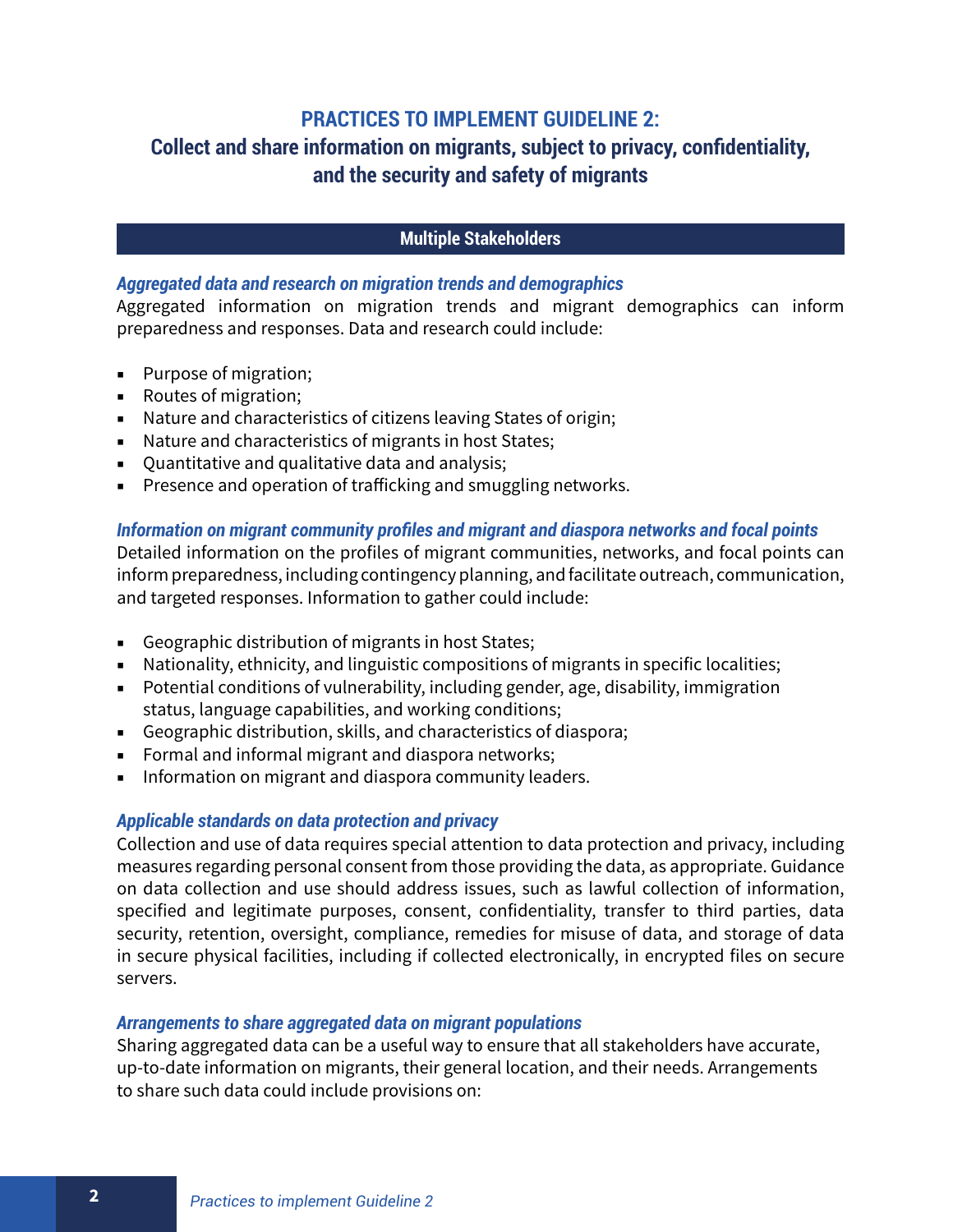# **PRACTICES TO IMPLEMENT GUIDELINE 2:**

# **Collect and share information on migrants, subject to privacy, confidentiality, and the security and safety of migrants**

## **Multiple Stakeholders**

#### *Aggregated data and research on migration trends and demographics*

Aggregated information on migration trends and migrant demographics can inform preparedness and responses. Data and research could include:

- Purpose of migration;
- Routes of migration;
- Nature and characteristics of citizens leaving States of origin;
- Nature and characteristics of migrants in host States;
- Ouantitative and qualitative data and analysis;
- Presence and operation of trafficking and smuggling networks.

## *Information on migrant community profiles and migrant and diaspora networks and focal points* Detailed information on the profiles of migrant communities, networks, and focal points can inform preparedness, including contingency planning, and facilitate outreach, communication, and targeted responses. Information to gather could include:

- Geographic distribution of migrants in host States;
- Nationality, ethnicity, and linguistic compositions of migrants in specific localities;
- Potential conditions of vulnerability, including gender, age, disability, immigration status, language capabilities, and working conditions;
- Geographic distribution, skills, and characteristics of diaspora;
- Formal and informal migrant and diaspora networks;
- Information on migrant and diaspora community leaders.

## *Applicable standards on data protection and privacy*

Collection and use of data requires special attention to data protection and privacy, including measures regarding personal consent from those providing the data, as appropriate. Guidance on data collection and use should address issues, such as lawful collection of information, specified and legitimate purposes, consent, confidentiality, transfer to third parties, data security, retention, oversight, compliance, remedies for misuse of data, and storage of data in secure physical facilities, including if collected electronically, in encrypted files on secure servers.

#### *Arrangements to share aggregated data on migrant populations*

Sharing aggregated data can be a useful way to ensure that all stakeholders have accurate, up-to-date information on migrants, their general location, and their needs. Arrangements to share such data could include provisions on: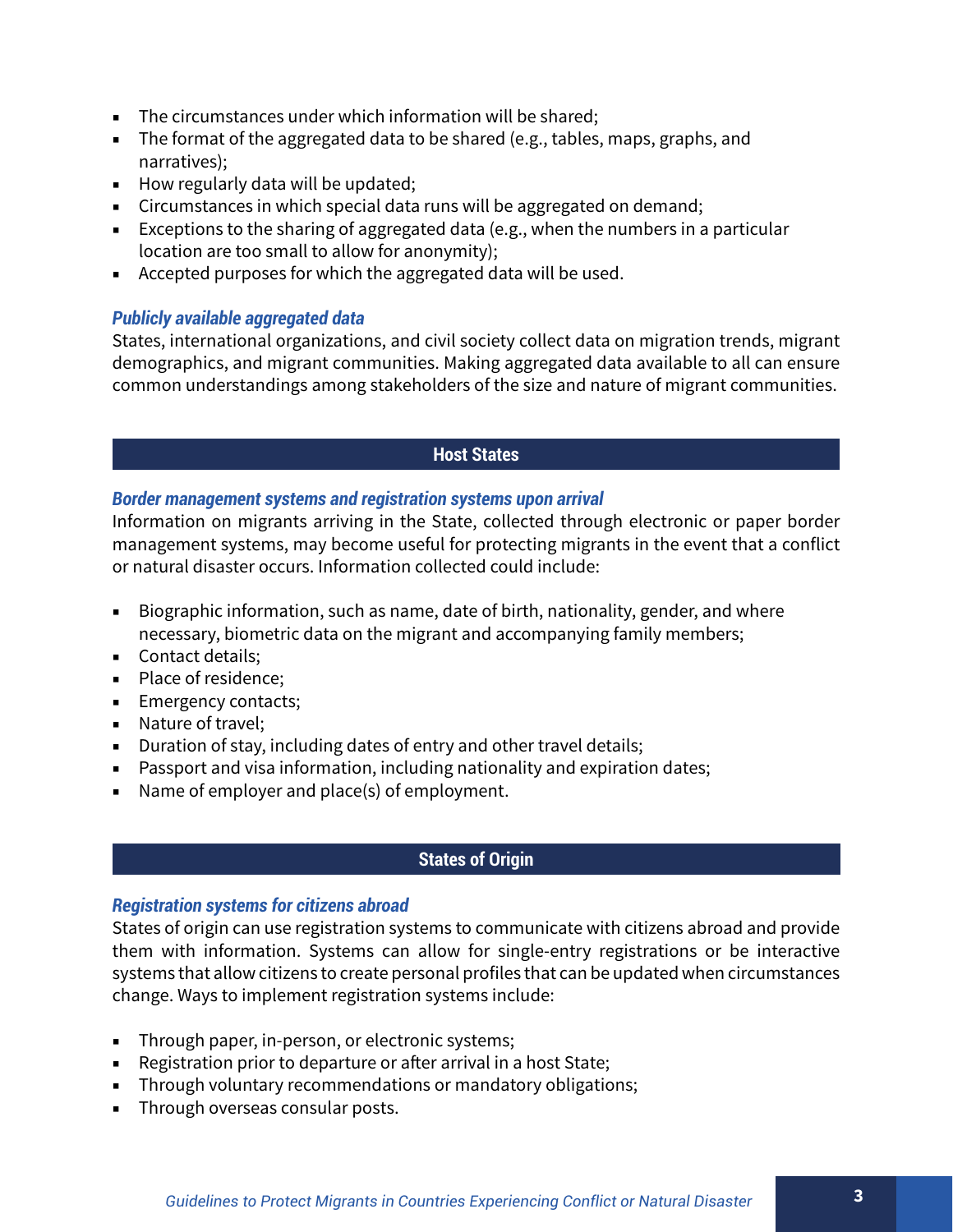- The circumstances under which information will be shared;
- The format of the aggregated data to be shared (e.g., tables, maps, graphs, and narratives);
- How regularly data will be updated;
- Circumstances in which special data runs will be aggregated on demand;
- Exceptions to the sharing of aggregated data (e.g., when the numbers in a particular location are too small to allow for anonymity);
- Accepted purposes for which the aggregated data will be used.

## *Publicly available aggregated data*

States, international organizations, and civil society collect data on migration trends, migrant demographics, and migrant communities. Making aggregated data available to all can ensure common understandings among stakeholders of the size and nature of migrant communities.

## **Host States**

## *Border management systems and registration systems upon arrival*

Information on migrants arriving in the State, collected through electronic or paper border management systems, may become useful for protecting migrants in the event that a conflict or natural disaster occurs. Information collected could include:

- Biographic information, such as name, date of birth, nationality, gender, and where necessary, biometric data on the migrant and accompanying family members;
- Contact details:
- Place of residence:
- Emergency contacts;
- Nature of travel:
- Duration of stay, including dates of entry and other travel details;
- Passport and visa information, including nationality and expiration dates;
- Name of employer and place(s) of employment.

## **States of Origin**

#### *Registration systems for citizens abroad*

States of origin can use registration systems to communicate with citizens abroad and provide them with information. Systems can allow for single-entry registrations or be interactive systems that allow citizens to create personal profiles that can be updated when circumstances change. Ways to implement registration systems include:

- Through paper, in-person, or electronic systems;
- Registration prior to departure or after arrival in a host State;
- Through voluntary recommendations or mandatory obligations;
- Through overseas consular posts.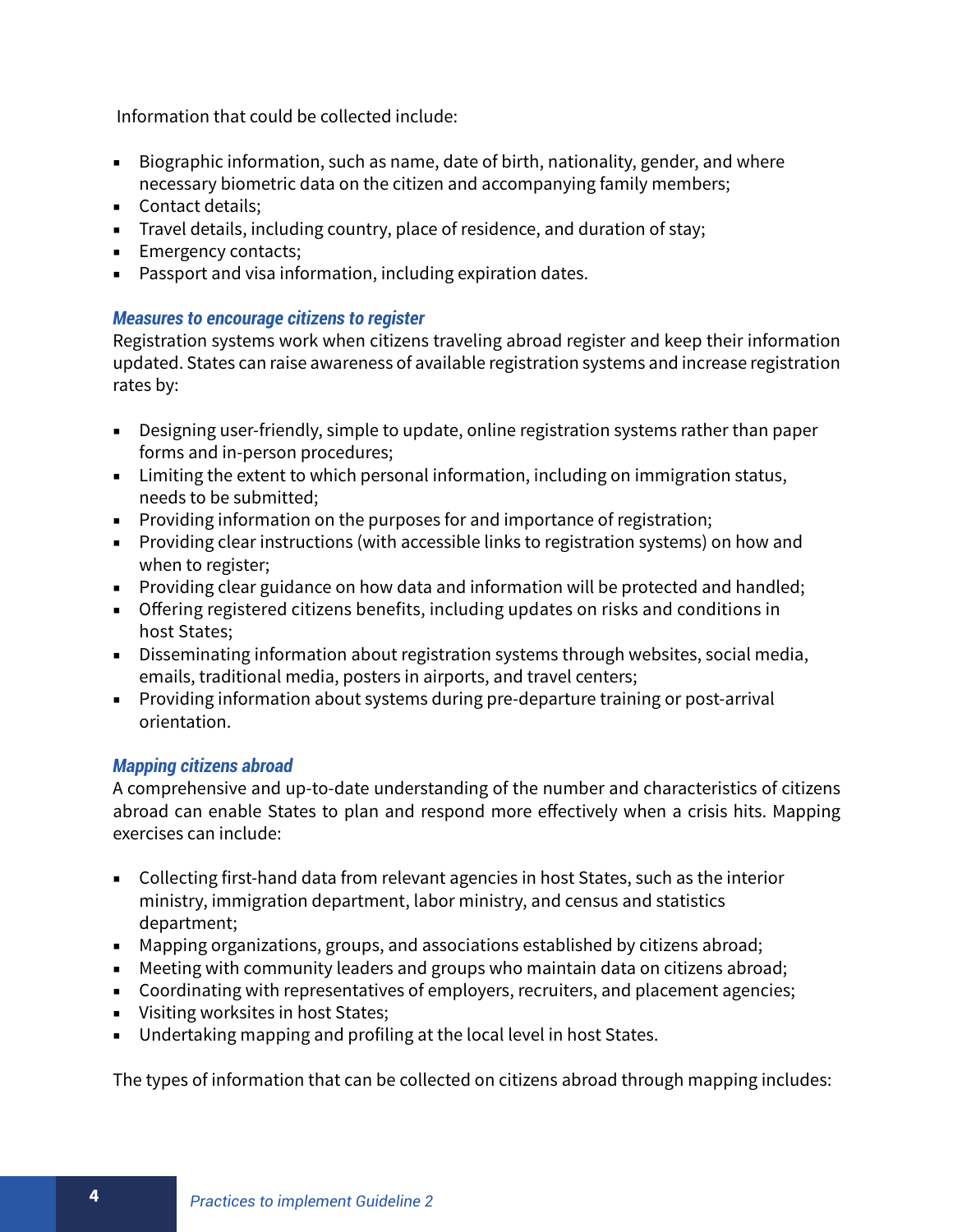Information that could be collected include:

- Biographic information, such as name, date of birth, nationality, gender, and where necessary biometric data on the citizen and accompanying family members;
- Contact details:
- Travel details, including country, place of residence, and duration of stay;
- Emergency contacts;
- Passport and visa information, including expiration dates.

## *Measures to encourage citizens to register*

Registration systems work when citizens traveling abroad register and keep their information updated. States can raise awareness of available registration systems and increase registration rates by:

- Designing user-friendly, simple to update, online registration systems rather than paper forms and in-person procedures;
- Limiting the extent to which personal information, including on immigration status, needs to be submitted;
- Providing information on the purposes for and importance of registration;
- Providing clear instructions (with accessible links to registration systems) on how and when to register;
- Providing clear guidance on how data and information will be protected and handled;
- Offering registered citizens benefits, including updates on risks and conditions in host States;
- Disseminating information about registration systems through websites, social media, emails, traditional media, posters in airports, and travel centers;
- Providing information about systems during pre-departure training or post-arrival orientation.

## *Mapping citizens abroad*

A comprehensive and up-to-date understanding of the number and characteristics of citizens abroad can enable States to plan and respond more effectively when a crisis hits. Mapping exercises can include:

- Collecting first-hand data from relevant agencies in host States, such as the interior ministry, immigration department, labor ministry, and census and statistics department;
- Mapping organizations, groups, and associations established by citizens abroad;
- Meeting with community leaders and groups who maintain data on citizens abroad;
- Coordinating with representatives of employers, recruiters, and placement agencies;
- Visiting worksites in host States;
- Undertaking mapping and profiling at the local level in host States.

The types of information that can be collected on citizens abroad through mapping includes: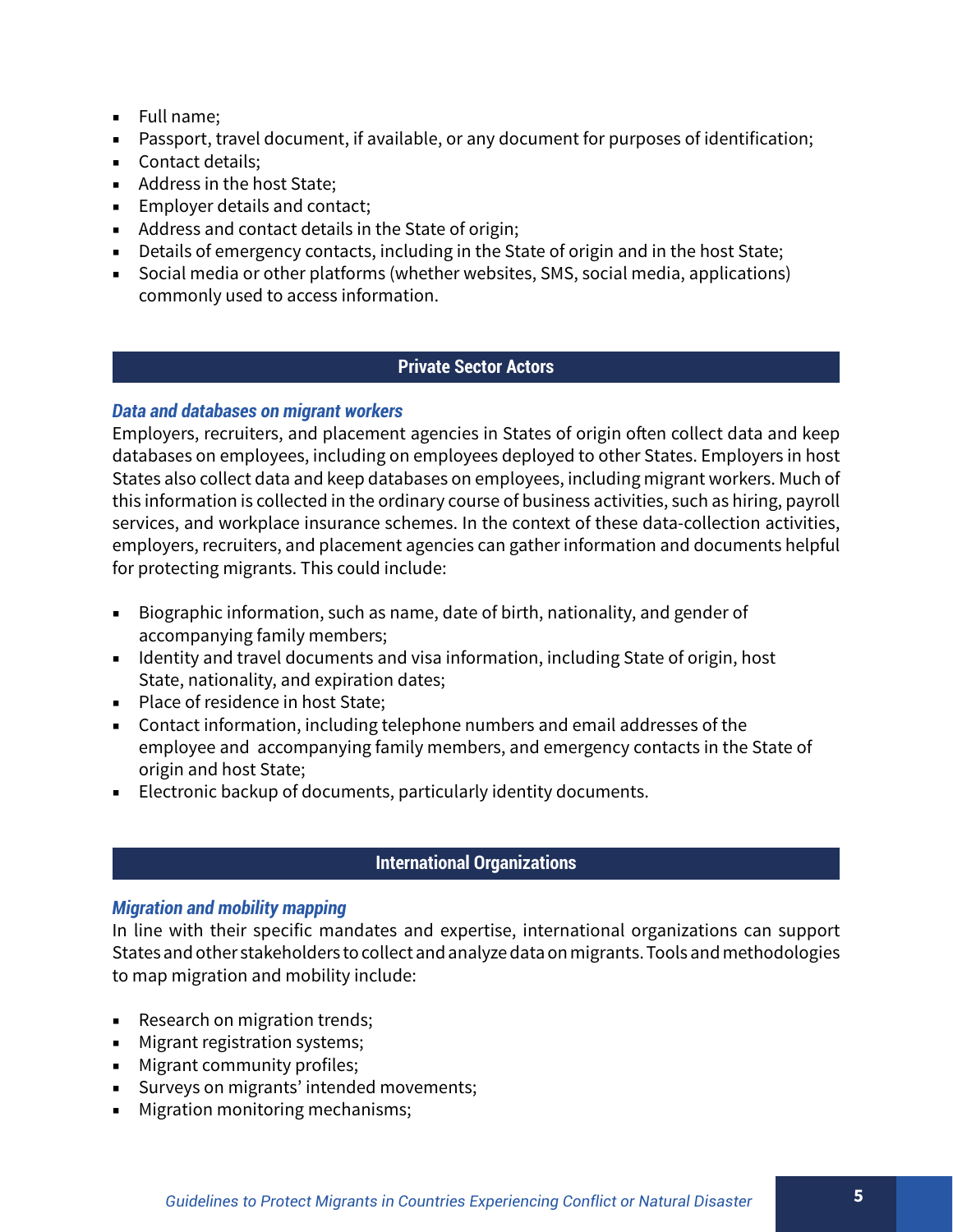- Full name;
- Passport, travel document, if available, or any document for purposes of identification;
- Contact details;
- Address in the host State:
- Employer details and contact;
- Address and contact details in the State of origin;
- Details of emergency contacts, including in the State of origin and in the host State;
- Social media or other platforms (whether websites, SMS, social media, applications) commonly used to access information.

## **Private Sector Actors**

## *Data and databases on migrant workers*

Employers, recruiters, and placement agencies in States of origin often collect data and keep databases on employees, including on employees deployed to other States. Employers in host States also collect data and keep databases on employees, including migrant workers. Much of this information is collected in the ordinary course of business activities, such as hiring, payroll services, and workplace insurance schemes. In the context of these data-collection activities, employers, recruiters, and placement agencies can gather information and documents helpful for protecting migrants. This could include:

- Biographic information, such as name, date of birth, nationality, and gender of accompanying family members;
- Identity and travel documents and visa information, including State of origin, host State, nationality, and expiration dates;
- Place of residence in host State;
- Contact information, including telephone numbers and email addresses of the employee and accompanying family members, and emergency contacts in the State of origin and host State;
- Electronic backup of documents, particularly identity documents.

# **International Organizations**

## *Migration and mobility mapping*

In line with their specific mandates and expertise, international organizations can support States and other stakeholders to collect and analyze data on migrants. Tools and methodologies to map migration and mobility include:

- Research on migration trends;
- Migrant registration systems;
- Migrant community profiles;
- Surveys on migrants' intended movements;
- Migration monitoring mechanisms;